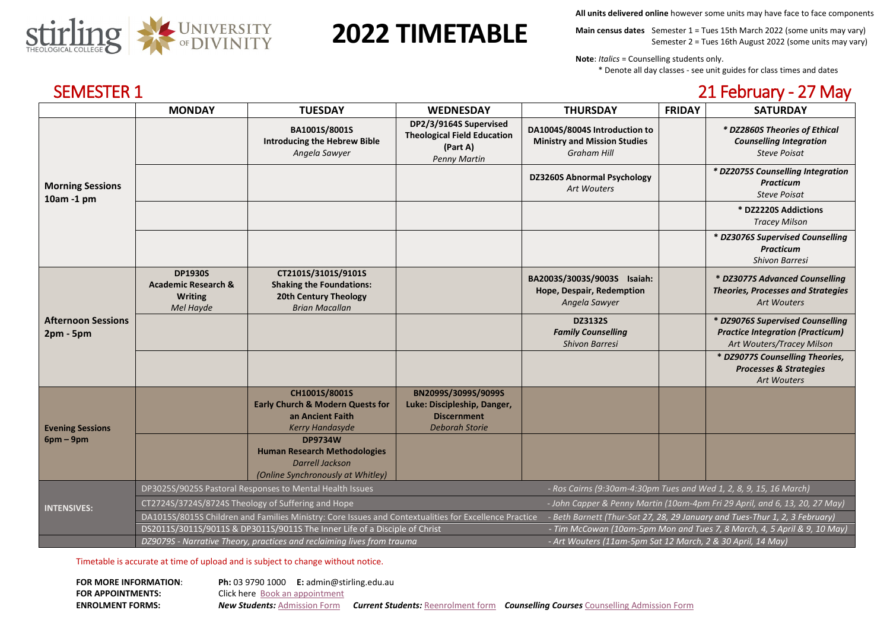

# **2022 TIMETABLE**

**All units delivered online** however some units may have face to face components

**Main census dates** Semester 1 = Tues 15th March 2022 (some units may vary) Semester 2 = Tues 16th August 2022 (some units may vary)

**Note**: *Italics* = Counselling students only.

\* Denote all day classes - see unit guides for class times and dates

| <b>SEMESTER 1</b>                        |                                                                                                                                                                                      |                                                                                                                      |                                                                                                   |                                                                                            |               | 21 February - 27 May                                                                                     |
|------------------------------------------|--------------------------------------------------------------------------------------------------------------------------------------------------------------------------------------|----------------------------------------------------------------------------------------------------------------------|---------------------------------------------------------------------------------------------------|--------------------------------------------------------------------------------------------|---------------|----------------------------------------------------------------------------------------------------------|
|                                          | <b>MONDAY</b>                                                                                                                                                                        | <b>TUESDAY</b>                                                                                                       | <b>WEDNESDAY</b>                                                                                  | <b>THURSDAY</b>                                                                            | <b>FRIDAY</b> | <b>SATURDAY</b>                                                                                          |
| <b>Morning Sessions</b><br>10am -1 pm    |                                                                                                                                                                                      | BA1001S/8001S<br><b>Introducing the Hebrew Bible</b><br>Angela Sawyer                                                | DP2/3/9164S Supervised<br><b>Theological Field Education</b><br>(Part A)<br><b>Penny Martin</b>   | DA1004S/8004S Introduction to<br><b>Ministry and Mission Studies</b><br><b>Graham Hill</b> |               | * DZ2860S Theories of Ethical<br><b>Counselling Integration</b><br><b>Steve Poisat</b>                   |
|                                          |                                                                                                                                                                                      |                                                                                                                      |                                                                                                   | <b>DZ3260S Abnormal Psychology</b><br><b>Art Wouters</b>                                   |               | * DZ2075S Counselling Integration<br><b>Practicum</b><br><b>Steve Poisat</b>                             |
|                                          |                                                                                                                                                                                      |                                                                                                                      |                                                                                                   |                                                                                            |               | * DZ2220S Addictions<br><b>Tracey Milson</b>                                                             |
|                                          |                                                                                                                                                                                      |                                                                                                                      |                                                                                                   |                                                                                            |               | * DZ3076S Supervised Counselling<br><b>Practicum</b><br><b>Shivon Barresi</b>                            |
| <b>Afternoon Sessions</b><br>$2pm - 5pm$ | <b>DP1930S</b><br><b>Academic Research &amp;</b><br><b>Writing</b><br>Mel Hayde                                                                                                      | CT2101S/3101S/9101S<br><b>Shaking the Foundations:</b><br><b>20th Century Theology</b><br><b>Brian Macallan</b>      |                                                                                                   | BA2003S/3003S/9003S Isaiah:<br>Hope, Despair, Redemption<br>Angela Sawyer                  |               | * DZ3077S Advanced Counselling<br><b>Theories, Processes and Strategies</b><br><b>Art Wouters</b>        |
|                                          |                                                                                                                                                                                      |                                                                                                                      |                                                                                                   | <b>DZ3132S</b><br><b>Family Counselling</b><br><b>Shivon Barresi</b>                       |               | * DZ9076S Supervised Counselling<br><b>Practice Integration (Practicum)</b><br>Art Wouters/Tracey Milson |
|                                          |                                                                                                                                                                                      |                                                                                                                      |                                                                                                   |                                                                                            |               | * DZ9077S Counselling Theories,<br><b>Processes &amp; Strategies</b><br><b>Art Wouters</b>               |
| <b>Evening Sessions</b><br>$6pm-9pm$     |                                                                                                                                                                                      | CH1001S/8001S<br><b>Early Church &amp; Modern Quests for</b><br>an Ancient Faith<br><b>Kerry Handasyde</b>           | BN2099S/3099S/9099S<br>Luke: Discipleship, Danger,<br><b>Discernment</b><br><b>Deborah Storie</b> |                                                                                            |               |                                                                                                          |
|                                          |                                                                                                                                                                                      | <b>DP9734W</b><br><b>Human Research Methodologies</b><br><b>Darrell Jackson</b><br>(Online Synchronously at Whitley) |                                                                                                   |                                                                                            |               |                                                                                                          |
| <b>INTENSIVES:</b>                       | DP3025S/9025S Pastoral Responses to Mental Health Issues<br>- Ros Cairns (9:30am-4:30pm Tues and Wed 1, 2, 8, 9, 15, 16 March)                                                       |                                                                                                                      |                                                                                                   |                                                                                            |               |                                                                                                          |
|                                          | CT2724S/3724S/8724S Theology of Suffering and Hope<br>- John Capper & Penny Martin (10am-4pm Fri 29 April, and 6, 13, 20, 27 May)                                                    |                                                                                                                      |                                                                                                   |                                                                                            |               |                                                                                                          |
|                                          | DA1015S/8015S Children and Families Ministry: Core Issues and Contextualities for Excellence Practice<br>- Beth Barnett (Thur-Sat 27, 28, 29 January and Tues-Thur 1, 2, 3 February) |                                                                                                                      |                                                                                                   |                                                                                            |               |                                                                                                          |

DS2011S/3011S/9011S & DP3011S/9011S The Inner Life of a Disciple of Christ *- Tim McCowan (10am-5pm Mon and Tues 7, 8 March, 4, 5 April & 9, 10 May)*

*DZ9079S - Narrative Theory, practices and reclaiming lives from trauma - Art Wouters (11am-5pm Sat 12 March, 2 & 30 April, 14 May)*

Timetable is accurate at time of upload and is subject to change without notice.

| <b>FOR MORE INFORMATION:</b> | <b>Ph:</b> 03 9790 1000 <b>E:</b> admin@stirling.edu.au |                                                                                                 |  |
|------------------------------|---------------------------------------------------------|-------------------------------------------------------------------------------------------------|--|
| <b>FOR APPOINTMENTS:</b>     | <b>Click here</b> Book an appointment                   |                                                                                                 |  |
| <b>ENROLMENT FORMS:</b>      | <b>New Students:</b> Admission Form                     | <b>Current Students:</b> Reenrolment form <b>Counselling Courses</b> Counselling Admission Form |  |